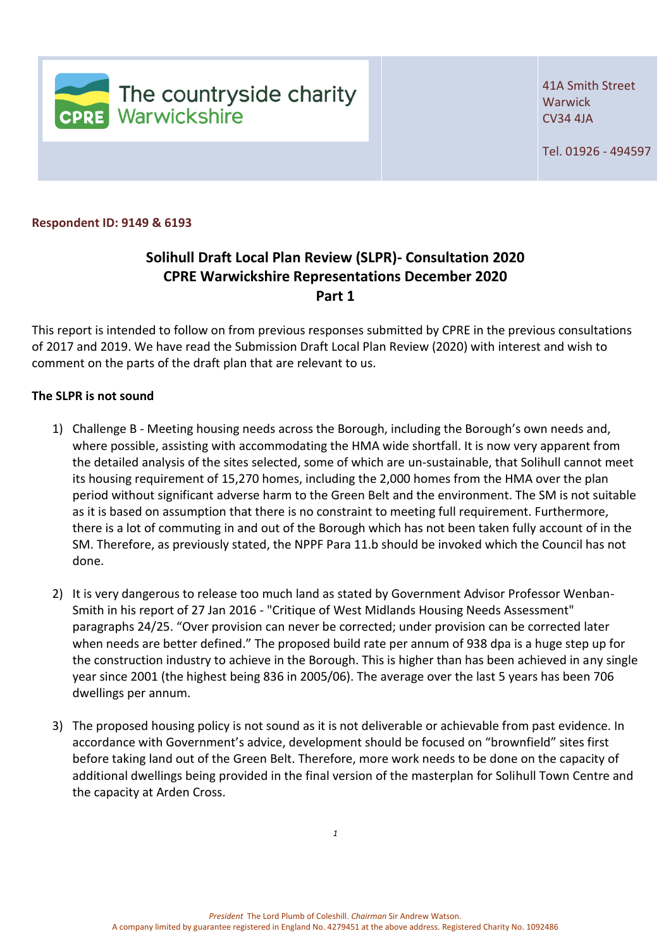

41A Smith Street **Warwick** CV34 4JA

Tel. 01926 - 494597

**Respondent ID: 9149 & 6193** 

## **Solihull Draft Local Plan Review (SLPR)- Consultation 2020 CPRE Warwickshire Representations December 2020 Part 1**

This report is intended to follow on from previous responses submitted by CPRE in the previous consultations of 2017 and 2019. We have read the Submission Draft Local Plan Review (2020) with interest and wish to comment on the parts of the draft plan that are relevant to us.

## **The SLPR is not sound**

- 1) Challenge B Meeting housing needs across the Borough, including the Borough's own needs and, where possible, assisting with accommodating the HMA wide shortfall. It is now very apparent from the detailed analysis of the sites selected, some of which are un-sustainable, that Solihull cannot meet its housing requirement of 15,270 homes, including the 2,000 homes from the HMA over the plan period without significant adverse harm to the Green Belt and the environment. The SM is not suitable as it is based on assumption that there is no constraint to meeting full requirement. Furthermore, there is a lot of commuting in and out of the Borough which has not been taken fully account of in the SM. Therefore, as previously stated, the NPPF Para 11.b should be invoked which the Council has not done.
- 2) It is very dangerous to release too much land as stated by Government Advisor Professor Wenban-Smith in his report of 27 Jan 2016 - "Critique of West Midlands Housing Needs Assessment" paragraphs 24/25. "Over provision can never be corrected; under provision can be corrected later when needs are better defined." The proposed build rate per annum of 938 dpa is a huge step up for the construction industry to achieve in the Borough. This is higher than has been achieved in any single year since 2001 (the highest being 836 in 2005/06). The average over the last 5 years has been 706 dwellings per annum.
- 3) The proposed housing policy is not sound as it is not deliverable or achievable from past evidence. In accordance with Government's advice, development should be focused on "brownfield" sites first before taking land out of the Green Belt. Therefore, more work needs to be done on the capacity of additional dwellings being provided in the final version of the masterplan for Solihull Town Centre and the capacity at Arden Cross.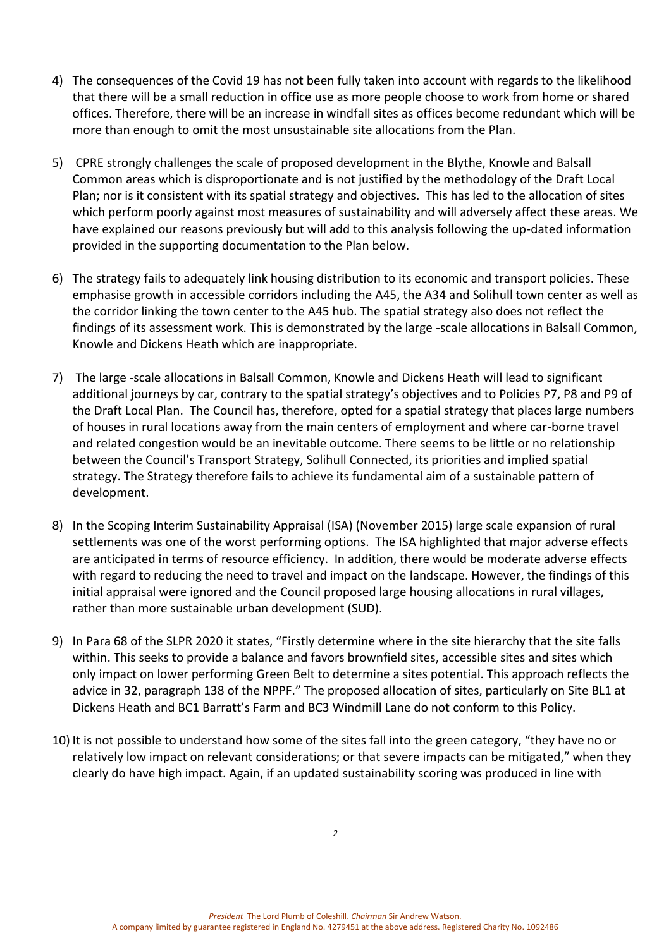- 4) The consequences of the Covid 19 has not been fully taken into account with regards to the likelihood that there will be a small reduction in office use as more people choose to work from home or shared offices. Therefore, there will be an increase in windfall sites as offices become redundant which will be more than enough to omit the most unsustainable site allocations from the Plan.
- 5) CPRE strongly challenges the scale of proposed development in the Blythe, Knowle and Balsall Common areas which is disproportionate and is not justified by the methodology of the Draft Local Plan; nor is it consistent with its spatial strategy and objectives. This has led to the allocation of sites which perform poorly against most measures of sustainability and will adversely affect these areas. We have explained our reasons previously but will add to this analysis following the up-dated information provided in the supporting documentation to the Plan below.
- 6) The strategy fails to adequately link housing distribution to its economic and transport policies. These emphasise growth in accessible corridors including the A45, the A34 and Solihull town center as well as the corridor linking the town center to the A45 hub. The spatial strategy also does not reflect the findings of its assessment work. This is demonstrated by the large -scale allocations in Balsall Common, Knowle and Dickens Heath which are inappropriate.
- 7) The large -scale allocations in Balsall Common, Knowle and Dickens Heath will lead to significant additional journeys by car, contrary to the spatial strategy's objectives and to Policies P7, P8 and P9 of the Draft Local Plan. The Council has, therefore, opted for a spatial strategy that places large numbers of houses in rural locations away from the main centers of employment and where car-borne travel and related congestion would be an inevitable outcome. There seems to be little or no relationship between the Council's Transport Strategy, Solihull Connected, its priorities and implied spatial strategy. The Strategy therefore fails to achieve its fundamental aim of a sustainable pattern of development.
- 8) In the Scoping Interim Sustainability Appraisal (ISA) (November 2015) large scale expansion of rural settlements was one of the worst performing options. The ISA highlighted that major adverse effects are anticipated in terms of resource efficiency. In addition, there would be moderate adverse effects with regard to reducing the need to travel and impact on the landscape. However, the findings of this initial appraisal were ignored and the Council proposed large housing allocations in rural villages, rather than more sustainable urban development (SUD).
- 9) In Para 68 of the SLPR 2020 it states, "Firstly determine where in the site hierarchy that the site falls within. This seeks to provide a balance and favors brownfield sites, accessible sites and sites which only impact on lower performing Green Belt to determine a sites potential. This approach reflects the advice in 32, paragraph 138 of the NPPF." The proposed allocation of sites, particularly on Site BL1 at Dickens Heath and BC1 Barratt's Farm and BC3 Windmill Lane do not conform to this Policy.
- 10) It is not possible to understand how some of the sites fall into the green category, "they have no or relatively low impact on relevant considerations; or that severe impacts can be mitigated," when they clearly do have high impact. Again, if an updated sustainability scoring was produced in line with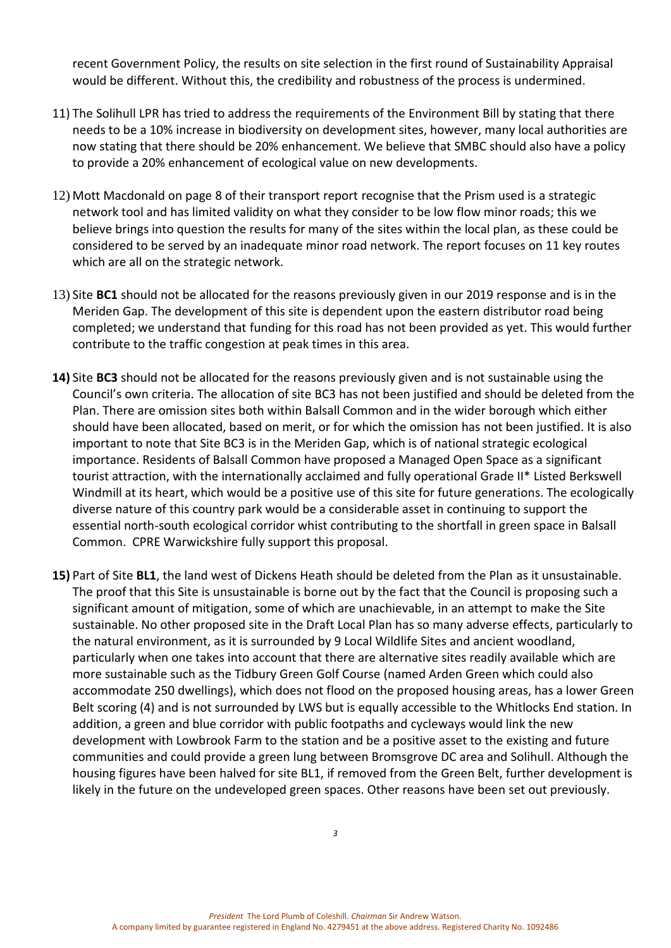recent Government Policy, the results on site selection in the first round of Sustainability Appraisal would be different. Without this, the credibility and robustness of the process is undermined.

- 11) The Solihull LPR has tried to address the requirements of the Environment Bill by stating that there needs to be a 10% increase in biodiversity on development sites, however, many local authorities are now stating that there should be 20% enhancement. We believe that SMBC should also have a policy to provide a 20% enhancement of ecological value on new developments.
- 12) Mott Macdonald on page 8 of their transport report recognise that the Prism used is a strategic network tool and has limited validity on what they consider to be low flow minor roads; this we believe brings into question the results for many of the sites within the local plan, as these could be considered to be served by an inadequate minor road network. The report focuses on 11 key routes which are all on the strategic network.
- 13) Site **BC1** should not be allocated for the reasons previously given in our 2019 response and is in the Meriden Gap. The development of this site is dependent upon the eastern distributor road being completed; we understand that funding for this road has not been provided as yet. This would further contribute to the traffic congestion at peak times in this area.
- **14)** Site **BC3** should not be allocated for the reasons previously given and is not sustainable using the Council's own criteria. The allocation of site BC3 has not been justified and should be deleted from the Plan. There are omission sites both within Balsall Common and in the wider borough which either should have been allocated, based on merit, or for which the omission has not been justified. It is also important to note that Site BC3 is in the Meriden Gap, which is of national strategic ecological importance. Residents of Balsall Common have proposed a Managed Open Space as a significant tourist attraction, with the internationally acclaimed and fully operational Grade II\* Listed Berkswell Windmill at its heart, which would be a positive use of this site for future generations. The ecologically diverse nature of this country park would be a considerable asset in continuing to support the essential north-south ecological corridor whist contributing to the shortfall in green space in Balsall Common. CPRE Warwickshire fully support this proposal.
- **15)** Part of Site **BL1**, the land west of Dickens Heath should be deleted from the Plan as it unsustainable. The proof that this Site is unsustainable is borne out by the fact that the Council is proposing such a significant amount of mitigation, some of which are unachievable, in an attempt to make the Site sustainable. No other proposed site in the Draft Local Plan has so many adverse effects, particularly to the natural environment, as it is surrounded by 9 Local Wildlife Sites and ancient woodland, particularly when one takes into account that there are alternative sites readily available which are more sustainable such as the Tidbury Green Golf Course (named Arden Green which could also accommodate 250 dwellings), which does not flood on the proposed housing areas, has a lower Green Belt scoring (4) and is not surrounded by LWS but is equally accessible to the Whitlocks End station. In addition, a green and blue corridor with public footpaths and cycleways would link the new development with Lowbrook Farm to the station and be a positive asset to the existing and future communities and could provide a green lung between Bromsgrove DC area and Solihull. Although the housing figures have been halved for site BL1, if removed from the Green Belt, further development is likely in the future on the undeveloped green spaces. Other reasons have been set out previously.